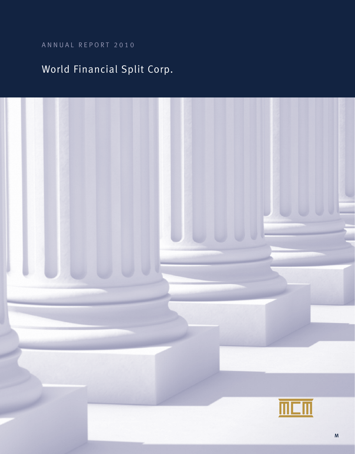A N N U A L R E P O R T 2 0 1 0

# World Financial Split Corp.

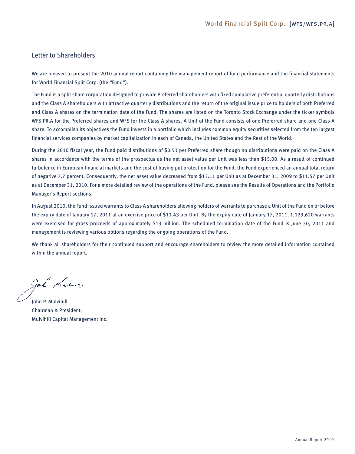# Letter to Shareholders

We are pleased to present the 2010 annual report containing the management report of fund performance and the financial statements for World Financial Split Corp. (the "Fund").

The Fund is a split share corporation designed to provide Preferred shareholders with fixed cumulative preferential quarterly distributions and the Class A shareholders with attractive quarterly distributions and the return of the original issue price to holders of both Preferred and Class A shares on the termination date of the Fund. The shares are listed on the Toronto Stock Exchange under the ticker symbols WFS.PR.A for the Preferred shares and WFS for the Class A shares. A Unit of the Fund consists of one Preferred share and one Class A share. To accomplish its objectives the Fund invests in a portfolio which includes common equity securities selected from the ten largest financial services companies by market capitalization in each of Canada, the United States and the Rest of the World.

During the 2010 fiscal year, the Fund paid distributions of \$0.53 per Preferred share though no distributions were paid on the Class A shares in accordance with the terms of the prospectus as the net asset value per Unit was less than \$15.00. As a result of continued turbulence in European financial markets and the cost of buying put protection for the Fund, the Fund experienced an annual total return of negative 7.7 percent. Consequently, the net asset value decreased from \$13.11 per Unit as at December 31, 2009 to \$11.57 per Unit as at December 31, 2010. For a more detailed review of the operations of the Fund, please see the Results of Operations and the Portfolio Manager's Report sections.

In August 2010, the Fund issued warrants to Class A shareholders allowing holders of warrants to purchase a Unit of the Fund on or before the expiry date of January 17, 2011 at an exercise price of \$11.43 per Unit. By the expiry date of January 17, 2011, 1,123,620 warrants were exercised for gross proceeds of approximately \$13 million. The scheduled termination date of the Fund is June 30, 2011 and management is reviewing various options regarding the ongoing operations of the Fund.

We thank all shareholders for their continued support and encourage shareholders to review the more detailed information contained within the annual report.

gol plan

John P. Mulvihill Chairman & President, Mulvihill Capital Management Inc.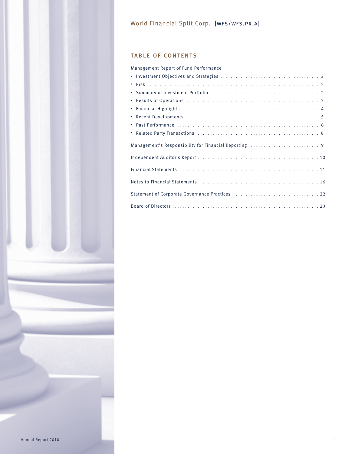# TABLE OF CONTENTS

# Management Report of Fund Performance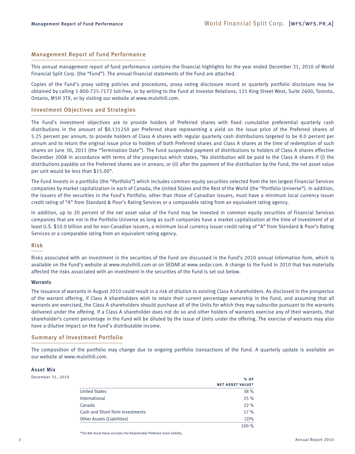#### Management Report of Fund Performance

This annual management report of fund performance contains the financial highlights for the year ended December 31, 2010 of World Financial Split Corp. (the "Fund"). The annual financial statements of the Fund are attached.

Copies of the Fund's proxy voting policies and procedures, proxy voting disclosure record or quarterly portfolio disclosure may be obtained by calling 1-800-725-7172 toll-free, or by writing to the Fund at Investor Relations, 121 King Street West, Suite 2600, Toronto, Ontario, M5H 3T9, or by visiting our website at www.mulvihill.com.

#### Investment Objectives and Strategies

The Fund's investment objectives are to provide holders of Preferred shares with fixed cumulative preferential quarterly cash distributions in the amount of \$0.131250 per Preferred share representing a yield on the issue price of the Preferred shares of 5.25 percent per annum, to provide holders of Class A shares with regular quarterly cash distributions targeted to be 8.0 percent per annum and to return the original issue price to holders of both Preferred shares and Class A shares at the time of redemption of such shares on June 30, 2011 (the "Termination Date"). The Fund suspended payment of distributions to holders of Class A shares effective December 2008 in accordance with terms of the prospectus which states, "No distribution will be paid to the Class A shares if (i) the distributions payable on the Preferred shares are in arrears; or (ii) after the payment of the distribution by the Fund, the net asset value per unit would be less than \$15.00".

The Fund invests in a portfolio (the "Portfolio") which includes common equity securities selected from the ten largest Financial Services companies by market capitalization in each of Canada, the United States and the Rest of the World (the "Portfolio Universe"). In addition, the issuers of the securities in the Fund's Portfolio, other than those of Canadian issuers, must have a minimum local currency issuer credit rating of "A" from Standard & Poor's Rating Services or a comparable rating from an equivalent rating agency.

In addition, up to 20 percent of the net asset value of the Fund may be invested in common equity securities of Financial Services companies that are not in the Portfolio Universe as long as such companies have a market capitalization at the time of investment of at least U.S. \$10.0 billion and for non-Canadian issuers, a minimum local currency issuer credit rating of "A" from Standard & Poor's Rating Services or a comparable rating from an equivalent rating agency.

### Risk

Risks associated with an investment in the securities of the Fund are discussed in the Fund's 2010 annual information form, which is available on the Fund's website at www.mulvihill.com or on SEDAR at www.sedar.com. A change to the Fund in 2010 that has materially affected the risks associated with an investment in the securities of the Fund is set out below.

#### **Warrants**

The issuance of warrants in August 2010 could result in a risk of dilution to existing Class A shareholders. As disclosed in the prospectus of the warrant offering, if Class A shareholders wish to retain their current percentage ownership in the Fund, and assuming that all warrants are exercised, the Class A shareholders should purchase all of the Units for which they may subscribe pursuant to the warrants delivered under the offering. If a Class A shareholder does not do so and other holders of warrants exercise any of their warrants, that shareholder's current percentage in the Fund will be diluted by the issue of Units under the offering. The exercise of warrants may also have a dilutive impact on the Fund's distributable income.

#### Summary of Investment Portfolio

The composition of the portfolio may change due to ongoing portfolio transactions of the Fund. A quarterly update is available on our website at www.mulvihill.com.

#### Asset Mix

| December 31, 2010 |                                 | % OF                    |
|-------------------|---------------------------------|-------------------------|
|                   |                                 | <b>NET ASSET VALUE*</b> |
|                   | <b>United States</b>            | 38 %                    |
|                   | International                   | 25 %                    |
|                   | Canada                          | 22 %                    |
|                   | Cash and Short-Term Investments | 17%                     |
|                   | Other Assets (Liabilities)      | (2)%                    |
|                   |                                 | 100%                    |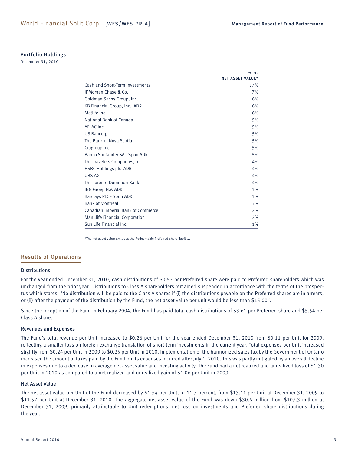#### Portfolio Holdings

December 31, 2010

|                                       | % OF                    |
|---------------------------------------|-------------------------|
|                                       | <b>NET ASSET VALUE*</b> |
| Cash and Short-Term Investments       | 17%                     |
| JPMorgan Chase & Co.                  | 7%                      |
| Goldman Sachs Group, Inc.             | 6%                      |
| KB Financial Group, Inc. ADR          | 6%                      |
| Metlife Inc.                          | 6%                      |
| National Bank of Canada               | 5%                      |
| AFLAC Inc.                            | 5%                      |
| US Bancorp.                           | 5%                      |
| The Bank of Nova Scotia               | 5%                      |
| Citigroup Inc.                        | 5%                      |
| Banco Santander SA - Spon ADR         | 5%                      |
| The Travelers Companies, Inc.         | 4%                      |
| <b>HSBC Holdings plc ADR</b>          | 4%                      |
| <b>UBS AG</b>                         | 4%                      |
| The Toronto-Dominion Bank             | 4%                      |
| ING Groep N.V. ADR                    | 3%                      |
| Barclays PLC - Spon ADR               | 3%                      |
| <b>Bank of Montreal</b>               | 3%                      |
| Canadian Imperial Bank of Commerce    | 2%                      |
| <b>Manulife Financial Corporation</b> | 2%                      |
| Sun Life Financial Inc.               | 1%                      |

\*The net asset value excludes the Redeemable Preferred share liability.

#### Results of Operations

#### **Distributions**

For the year ended December 31, 2010, cash distributions of \$0.53 per Preferred share were paid to Preferred shareholders which was unchanged from the prior year. Distributions to Class A shareholders remained suspended in accordance with the terms of the prospectus which states, "No distribution will be paid to the Class A shares if (i) the distributions payable on the Preferred shares are in arrears; or (ii) after the payment of the distribution by the Fund, the net asset value per unit would be less than \$15.00".

Since the inception of the Fund in February 2004, the Fund has paid total cash distributions of \$3.61 per Preferred share and \$5.54 per Class A share.

#### Revenues and Expenses

The Fund's total revenue per Unit increased to \$0.26 per Unit for the year ended December 31, 2010 from \$0.11 per Unit for 2009, reflecting a smaller loss on foreign exchange translation of short-term investments in the current year. Total expenses per Unit increased slightly from \$0.24 per Unit in 2009 to \$0.25 per Unit in 2010. Implementation of the harmonized sales tax by the Government of Ontario increased the amount of taxes paid by the Fund on its expenses incurred after July 1, 2010. This was partly mitigated by an overall decline in expenses due to a decrease in average net asset value and investing activity. The Fund had a net realized and unrealized loss of \$1.30 per Unit in 2010 as compared to a net realized and unrealized gain of \$1.06 per Unit in 2009.

#### Net Asset Value

The net asset value per Unit of the Fund decreased by \$1.54 per Unit, or 11.7 percent, from \$13.11 per Unit at December 31, 2009 to \$11.57 per Unit at December 31, 2010. The aggregate net asset value of the Fund was down \$30.6 million from \$107.3 million at December 31, 2009, primarily attributable to Unit redemptions, net loss on investments and Preferred share distributions during the year.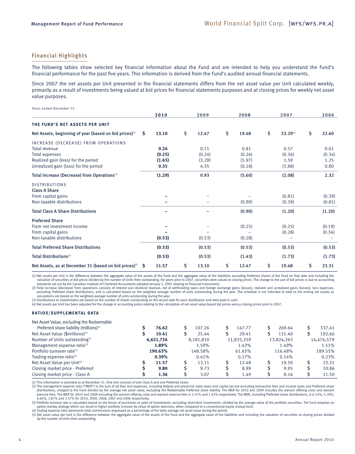## Financial Highlights

The following tables show selected key financial information about the Fund and are intended to help you understand the Fund's financial performance for the past five years. This information is derived from the Fund's audited annual financial statements.

Since 2007 the net assets per Unit presented in the financial statements differs from the net asset value per Unit calculated weekly, primarily as a result of investments being valued at bid prices for financial statements purposes and at closing prices for weekly net asset value purposes.

Years ended December 31

|                                                                                                                                                        | 2010                             | 2009                             | 2008                               | 2007                             | 2006                           |
|--------------------------------------------------------------------------------------------------------------------------------------------------------|----------------------------------|----------------------------------|------------------------------------|----------------------------------|--------------------------------|
| THE FUND'S NET ASSETS PER UNIT                                                                                                                         |                                  |                                  |                                    |                                  |                                |
| Net Assets, beginning of year (based on bid prices) <sup>(1)</sup>                                                                                     | S<br>13.10                       | \$<br>12.47                      | \$<br>19.48                        | \$<br>23.29(4)                   | \$<br>22.60                    |
| INCREASE (DECREASE) FROM OPERATIONS<br>Total revenue<br>Total expenses<br>Realized gain (loss) for the period<br>Unrealized gain (loss) for the period | 0.26<br>(0.25)<br>(1.65)<br>0.35 | 0.11<br>(0.24)<br>(3.29)<br>4.35 | 0.81<br>(0.26)<br>(5.97)<br>(0.18) | 0.57<br>(0.36)<br>1.59<br>(3.88) | 0.61<br>(0.34)<br>1.25<br>0.80 |
| Total Increase (Decrease) from Operations <sup>(2)</sup>                                                                                               | (1.29)                           | 0.93                             | (5.60)                             | (2.08)                           | 2.32                           |
| <b>DISTRIBUTIONS</b><br><b>Class A Share</b><br>From capital gains<br>Non-taxable distributions                                                        |                                  |                                  | (0.90)                             | (0.81)<br>(0.39)                 | (0.39)<br>(0.81)               |
| <b>Total Class A Share Distributions</b>                                                                                                               |                                  |                                  | (0.90)                             | (1.20)                           | (1.20)                         |
| <b>Preferred Share</b><br>From net investment income<br>From capital gains<br>Non-taxable distributions                                                | (0.53)                           | (0.53)                           | (0.25)<br>(0.28)                   | (0.25)<br>(0.28)                 | (0.19)<br>(0.34)               |
| <b>Total Preferred Share Distributions</b>                                                                                                             | (0.53)                           | (0.53)                           | (0.53)                             | (0.53)                           | (0.53)                         |
| Total Distributions <sup>(3)</sup>                                                                                                                     | (0.53)                           | (0.53)                           | (1.43)                             | (1.73)                           | (1.73)                         |
| Net Assets, as at December 31 (based on bid prices) <sup>(1)</sup> $\oint$                                                                             | 11.57                            | \$<br>13.10                      | \$<br>12.47                        | \$<br>19.48                      | \$<br>23.31                    |

(1) Net assets per Unit is the difference between the aggregate value of the assets of the Fund and the aggregate value of the liabilities excluding Preferred shares of the Fund on that date and including the valuation of securities at bid prices divided by the number of Units then outstanding. For years prior to 2007, securities were valued at closing prices. The change to the use of bid prices is due to accounting standards set out by the Canadian Institute of Chartered Accountants adopted January 1, 2007 relating to Financial Instruments.

(2) Total increase (decrease) from operations consists of interest and dividend revenue, net of withholding taxes and foreign exchange gains (losses), realized and unrealized gains (losses), less expenses, excluding Preferred share distributions, and is calculated based on the weighted average number of units outstanding during the year. The schedule is not intended to total to the ending net assets as calculations are based on the weighted average number of units outstanding during the year.

(3) Distributions to shareholders are based on the number of shares outstanding on the record date for each distribution and were paid in cash.

(4) Net assets per Unit has been adjusted for the change in accounting policy relating to the calculation of net asset value based bid prices versus closing prices prior to 2007.

#### **RATIOS/SUPPLEMENTAL DATA**

Net Asset Value, excluding the Redeemable

| <b>INCLASSEL VAILLE, EXCLUDING THE INCLUSION</b>    |           |           |            |            |            |
|-----------------------------------------------------|-----------|-----------|------------|------------|------------|
| Preferred share liability (millions) <sup>(1)</sup> | 76.62     | 107.26    | 147.77     | 269.64     | 337.41     |
| Net Asset Value (\$millions) <sup>(1)</sup>         | 10.41     | 25.44     | 29.41      | 131.40     | 192.66     |
| Number of Units outstanding <sup>(1)</sup>          | 6.621.726 | 8,181,810 | 11,835,359 | 13,824,263 | 14,474,579 |
| Management expense ratio <sup>(2)</sup>             | 1.89%     | 1.59%     | 1.43%      | 1.49%      | 1.51%      |
| Portfolio turnover rate <sup>(3)</sup>              | 190.63%   | 148.58%   | 61.65%     | 116.48%    | 189.55%    |
| Trading expense ratio $(4)$                         | 0.39%     | 0.41%     | 0.17%      | 0.14%      | 0.23%      |
| Net Asset Value per Unit <sup>(5)</sup>             | 11.57     | 13.11     | 12.48      | 19.50      | 23.31      |
| Closing market price - Preferred                    | 9.80      | 9.73      | 8.99       | 9.95       | 10.86      |
| Closing market price - Class A                      | 1.36      | 3.07      | 1.49       | 8.16       | 11.50      |
|                                                     |           |           |            |            |            |

(1) This information is provided as at December 31. One Unit consists of one Class A and one Preferred share.<br>(2) The management expense ratio ("MER") is the sum of all fees and expenses, including federal and provincial s distributions, charged to the Fund divided by the average net asset value, excluding the Redeemable Preferred share liability. The MER for 2010 and 2009 includes the warrant offering costs and warrant exercise fees. The MER for 2010 and 2009 excluding the warrant offering costs and warrant exercise fees is 1.51% and 1.45% respectively. The MER, including Preferred share distributions, is 6.14%, 5.78%,<br>4.64%, 3.87% and 3

(3) Portfolio turnover rate is calculated based on the lesser of purchases or sales of investments, excluding short-term investments, divided by the average value of the portfolio securities. The Fund employs an . option overlay strategy which can result in higher portfolio turnover by virtue of option exercises, when compared to a conventional equity mutual fund.<br>(4) Trading expense ratio represents total commissions expressed as

(5) Net asset value per Unit is the difference between the aggregate value of the assets of the Fund and the aggregate value of the liabilities and including the valuation of securities at closing prices divided by the number of Units then outstanding.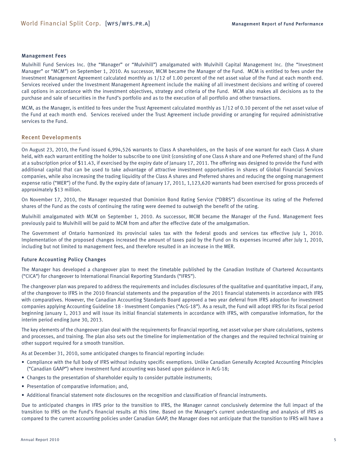#### Management Fees

Mulvihill Fund Services Inc. (the "Manager" or "Mulvihill") amalgamated with Mulvihill Capital Management Inc. (the "Investment Manager" or "MCM") on September 1, 2010. As successor, MCM became the Manager of the Fund. MCM is entitled to fees under the Investment Management Agreement calculated monthly as 1/12 of 1.00 percent of the net asset value of the Fund at each month end. Services received under the Investment Management Agreement include the making of all investment decisions and writing of covered call options in accordance with the investment objectives, strategy and criteria of the Fund. MCM also makes all decisions as to the purchase and sale of securities in the Fund's portfolio and as to the execution of all portfolio and other transactions.

MCM, as the Manager, is entitled to fees under the Trust Agreement calculated monthly as 1/12 of 0.10 percent of the net asset value of the Fund at each month end. Services received under the Trust Agreement include providing or arranging for required administrative services to the Fund.

#### Recent Developments

On August 23, 2010, the Fund issued 6,994,526 warrants to Class A shareholders, on the basis of one warrant for each Class A share held, with each warrant entitling the holder to subscribe to one Unit (consisting of one Class A share and one Preferred share) of the Fund at a subscription price of \$11.43, if exercised by the expiry date of January 17, 2011. The offering was designed to provide the Fund with additional capital that can be used to take advantage of attractive investment opportunities in shares of Global Financial Services companies, while also increasing the trading liquidity of the Class A shares and Preferred shares and reducing the ongoing management expense ratio ("MER") of the Fund. By the expiry date of January 17, 2011, 1,123,620 warrants had been exercised for gross proceeds of approximately \$13 million.

On November 17, 2010, the Manager requested that Dominion Bond Rating Service ("DBRS") discontinue its rating of the Preferred shares of the Fund as the costs of continuing the rating were deemed to outweigh the benefit of the rating.

Mulvihill amalgamated with MCM on September 1, 2010. As successor, MCM became the Manager of the Fund. Management fees previously paid to Mulvihill will be paid to MCM from and after the effective date of the amalgamation.

The Government of Ontario harmonized its provincial sales tax with the federal goods and services tax effective July 1, 2010. Implementation of the proposed changes increased the amount of taxes paid by the Fund on its expenses incurred after July 1, 2010, including but not limited to management fees, and therefore resulted in an increase in the MER.

#### Future Accounting Policy Changes

The Manager has developed a changeover plan to meet the timetable published by the Canadian Institute of Chartered Accountants ("CICA") for changeover to International Financial Reporting Standards ("IFRS").

The changeover plan was prepared to address the requirements and includes disclosures of the qualitative and quantitative impact, if any, of the changeover to IFRS in the 2010 financial statements and the preparation of the 2011 financial statements in accordance with IFRS with comparatives. However, the Canadian Accounting Standards Board approved a two year deferral from IFRS adoption for investment companies applying Accounting Guideline 18 - Investment Companies ("AcG-18"). As a result, the Fund will adopt IFRS for its fiscal period beginning January 1, 2013 and will issue its initial financial statements in accordance with IFRS, with comparative information, for the interim period ending June 30, 2013.

The key elements of the changeover plan deal with the requirements for financial reporting, net asset value per share calculations, systems and processes, and training. The plan also sets out the timeline for implementation of the changes and the required technical training or other support required for a smooth transition.

As at December 31, 2010, some anticipated changes to financial reporting include:

- Compliance with the full body of IFRS without industry specific exemptions. Unlike Canadian Generally Accepted Accounting Principles ("Canadian GAAP") where investment fund accounting was based upon guidance in AcG-18;
- Changes to the presentation of shareholder equity to consider puttable instruments;
- Presentation of comparative information; and,
- Additional financial statement note disclosures on the recognition and classification of financial instruments.

Due to anticipated changes in IFRS prior to the transition to IFRS, the Manager cannot conclusively determine the full impact of the transition to IFRS on the Fund's financial results at this time. Based on the Manager's current understanding and analysis of IFRS as compared to the current accounting policies under Canadian GAAP, the Manager does not anticipate that the transition to IFRS will have a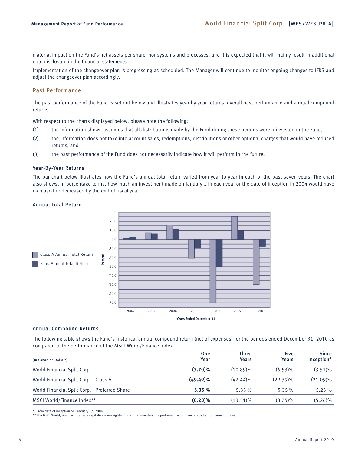material impact on the Fund's net assets per share, nor systems and processes, and it is expected that it will mainly result in additional note disclosure in the financial statements.

Implementation of the changeover plan is progressing as scheduled. The Manager will continue to monitor ongoing changes to IFRS and adjust the changeover plan accordingly.

### Past Performance

The past performance of the Fund is set out below and illustrates year-by-year returns, overall past performance and annual compound returns.

With respect to the charts displayed below, please note the following:

- (1) the information shown assumes that all distributions made by the Fund during these periods were reinvested in the Fund,
- (2) the information does not take into account sales, redemptions, distributions or other optional charges that would have reduced returns, and
- (3) the past performance of the Fund does not necessarily indicate how it will perform in the future.

#### Year-By-Year Returns

The bar chart below illustrates how the Fund's annual total return varied from year to year in each of the past seven years. The chart also shows, in percentage terms, how much an investment made on January 1 in each year or the date of inception in 2004 would have increased or decreased by the end of fiscal year.



#### Annual Total Return

#### Annual Compound Returns

The following table shows the Fund's historical annual compound return (net of expenses) for the periods ended December 31, 2010 as compared to the performance of the MSCI World/Finance Index.

| (In Canadian Dollars)                         | One<br>Year | <b>Three</b><br>Years | <b>Five</b><br><b>Years</b> | <b>Since</b><br>Inception* |
|-----------------------------------------------|-------------|-----------------------|-----------------------------|----------------------------|
| World Financial Split Corp.                   | $(7.70)\%$  | $(10.89)\%$           | $(6.53)\%$                  | $(3.51)\%$                 |
| World Financial Split Corp. - Class A         | $(49.49)\%$ | $(42.44)\%$           | $(29.39)\%$                 | $(21.09)\%$                |
| World Financial Split Corp. - Preferred Share | 5.35%       | 5.35%                 | 5.35%                       | 5.25%                      |
| MSCI World/Finance Index**                    | $(0.23)\%$  | $(13.51)\%$           | $(8.75)\%$                  | $(5.26)\%$                 |

\* From date of inception on February 17, 2004.

\*\* The MSCI World/Finance Index is a capitalization-weighted index that monitors the performance of financial stocks from around the world.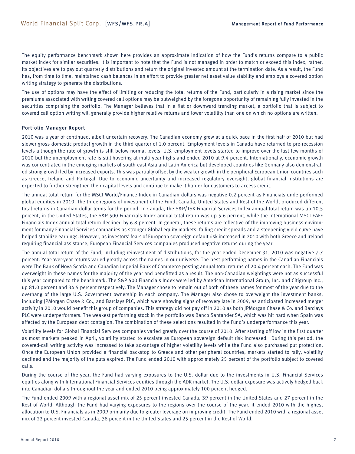The equity performance benchmark shown here provides an approximate indication of how the Fund's returns compare to a public market index for similar securities. It is important to note that the Fund is not managed in order to match or exceed this index; rather, its objectives are to pay out quarterly distributions and return the original invested amount at the termination date. As a result, the Fund has, from time to time, maintained cash balances in an effort to provide greater net asset value stability and employs a covered option writing strategy to generate the distributions.

The use of options may have the effect of limiting or reducing the total returns of the Fund, particularly in a rising market since the premiums associated with writing covered call options may be outweighed by the foregone opportunity of remaining fully invested in the securities comprising the portfolio. The Manager believes that in a flat or downward trending market, a portfolio that is subject to covered call option writing will generally provide higher relative returns and lower volatility than one on which no options are written.

#### Portfolio Manager Report

2010 was a year of continued, albeit uncertain recovery. The Canadian economy grew at a quick pace in the first half of 2010 but had slower gross domestic product growth in the third quarter of 1.0 percent. Employment levels in Canada have returned to pre-recession levels although the rate of growth is still below normal levels. U.S. employment levels started to improve over the last few months of 2010 but the unemployment rate is still hovering at multi-year highs and ended 2010 at 9.4 percent. Internationally, economic growth was concentrated in the emerging markets of south-east Asia and Latin America but developed countries like Germany also demonstrated strong growth led by increased exports. This was partially offset by the weaker growth in the peripheral European Union countries such as Greece, Ireland and Portugal. Due to economic uncertainty and increased regulatory oversight, global financial institutions are expected to further strengthen their capital levels and continue to make it harder for customers to access credit.

The annual total return for the MSCI World/Finance Index in Canadian dollars was negative 0.2 percent as Financials underperformed global equities in 2010. The three regions of investment of the Fund, Canada, United States and Rest of the World, produced different total returns in Canadian dollar terms for the period. In Canada, the S&P/TSX Financial Services Index annual total return was up 10.5 percent, in the United States, the S&P 500 Financials Index annual total return was up 5.6 percent, while the International MSCI EAFE Financials Index annual total return declined by 6.8 percent. In general, these returns are reflective of the improving business environment for many Financial Services companies as stronger Global equity markets, falling credit spreads and a steepening yield curve have helped stabilize earnings. However, as investors' fears of European sovereign default risk increased in 2010 with both Greece and Ireland requiring financial assistance, European Financial Services companies produced negative returns during the year.

The annual total return of the Fund, including reinvestment of distributions, for the year ended December 31, 2010 was negative 7.7 percent. Year-over-year returns varied greatly across the names in our universe. The best performing names in the Canadian Financials were The Bank of Nova Scotia and Canadian Imperial Bank of Commerce posting annual total returns of 20.4 percent each. The Fund was overweight in these names for the majority of the year and benefitted as a result. The non-Canadian weightings were not as successful this year compared to the benchmark. The S&P 500 Financials Index were led by American International Group, Inc. and Citigroup Inc., up 81.0 percent and 34.5 percent respectively. The Manager chose to remain out of both of these names for most of the year due to the overhang of the large U.S. Government ownership in each company. The Manager also chose to overweight the investment banks, including JPMorgan Chase & Co., and Barclays PLC, which were showing signs of recovery late in 2009, as anticipated increased merger activity in 2010 would benefit this group of companies. This strategy did not pay off in 2010 as both JPMorgan Chase & Co. and Barclays PLC were underperformers. The weakest performing stock in the portfolio was Banco Santander SA, which was hit hard when Spain was affected by the European debt contagion. The combination of these selections resulted in the Fund's underperformance this year.

Volatility levels for Global Financial Services companies varied greatly over the course of 2010. After starting off low in the first quarter as most markets peaked in April, volatility started to escalate as European sovereign default risk increased. During this period, the covered-call writing activity was increased to take advantage of higher volatility levels while the Fund also purchased put protection. Once the European Union provided a financial backstop to Greece and other peripheral countries, markets started to rally, volatility declined and the majority of the puts expired. The Fund ended 2010 with approximately 25 percent of the portfolio subject to covered calls.

During the course of the year, the Fund had varying exposures to the U.S. dollar due to the investments in U.S. Financial Services equities along with International Financial Services equities through the ADR market. The U.S. dollar exposure was actively hedged back into Canadian dollars throughout the year and ended 2010 being approximately 100 percent hedged.

The Fund ended 2009 with a regional asset mix of 25 percent invested Canada, 39 percent in the United States and 27 percent in the Rest of World. Although the Fund had varying exposures to the regions over the course of the year, it ended 2010 with the highest allocation to U.S. Financials as in 2009 primarily due to greater leverage on improving credit. The Fund ended 2010 with a regional asset mix of 22 percent invested Canada, 38 percent in the United States and 25 percent in the Rest of World.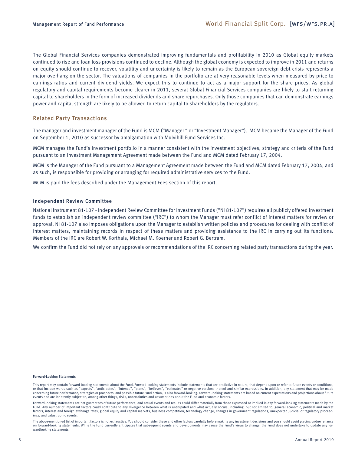The Global Financial Services companies demonstrated improving fundamentals and profitability in 2010 as Global equity markets continued to rise and loan loss provisions continued to decline. Although the global economy is expected to improve in 2011 and returns on equity should continue to recover, volatility and uncertainty is likely to remain as the European sovereign debt crisis represents a major overhang on the sector. The valuations of companies in the portfolio are at very reasonable levels when measured by price to earnings ratios and current dividend yields. We expect this to continue to act as a major support for the share prices. As global regulatory and capital requirements become clearer in 2011, several Global Financial Services companies are likely to start returning capital to shareholders in the form of increased dividends and share repurchases. Only those companies that can demonstrate earnings power and capital strength are likely to be allowed to return capital to shareholders by the regulators.

### Related Party Transactions

The manager and investment manager of the Fund is MCM ("Manager " or "Investment Manager"). MCM became the Manager of the Fund on September 1, 2010 as successor by amalgamation with Mulvihill Fund Services Inc.

MCM manages the Fund's investment portfolio in a manner consistent with the investment objectives, strategy and criteria of the Fund pursuant to an Investment Management Agreement made between the Fund and MCM dated February 17, 2004.

MCM is the Manager of the Fund pursuant to a Management Agreement made between the Fund and MCM dated February 17, 2004, and as such, is responsible for providing or arranging for required administrative services to the Fund.

MCM is paid the fees described under the Management Fees section of this report.

#### Independent Review Committee

National Instrument 81-107 - Independent Review Committee for Investment Funds ("NI 81-107") requires all publicly offered investment funds to establish an independent review committee ("IRC") to whom the Manager must refer conflict of interest matters for review or approval. NI 81-107 also imposes obligations upon the Manager to establish written policies and procedures for dealing with conflict of interest matters, maintaining records in respect of these matters and providing assistance to the IRC in carrying out its functions. Members of the IRC are Robert W. Korthals, Michael M. Koerner and Robert G. Bertram.

We confirm the Fund did not rely on any approvals or recommendations of the IRC concerning related party transactions during the year.

#### Forward-Looking Statements

This report may contain forward-looking statements about the Fund. Forward-looking statements include statements that are predictive in nature, that depend upon or refer to future events or conditions, or that include words such as "expects", "anticipates", "intends", "plans", "believes", "estimates" or negative versions thereof and similar expressions. In addition, any statement that may be made concerning future performance, strategies or prospects, and possible future Fund action, is also forward-looking. Forward-looking statements are based on current expectations and projections about future events and are inherently subject to, among other things, risks, uncertainties and assumptions about the Fund and economic factors.

Forward-looking statements are not guarantees of future performance, and actual events and results could differ materially from those expressed or implied in any forward-looking statements made by the Fund. Any number of important factors could contribute to any divergence between what is anticipated and what actually occurs, including, but not limited to, general economic, political and market factors, interest and foreign exchange rates, global equity and capital markets, business competition, technology change, changes in government regulations, unexpected judicial or regulatory proceedings, and catastrophic events.

The above-mentioned list of important factors is not exhaustive. You should consider these and other factors carefully before making any investment decisions and you should avoid placing undue reliance on forward-looking statements. While the Fund currently anticipates that subsequent events and developments may cause the Fund's views to change, the Fund does not undertake to update any forwardlooking statements.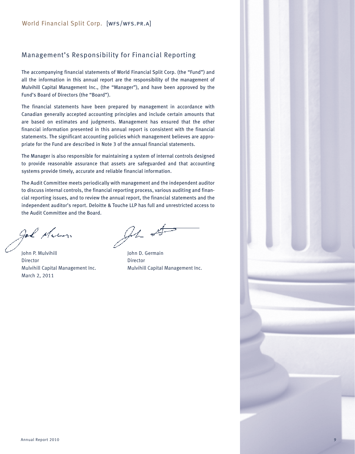# Management's Responsibility for Financial Reporting

The accompanying financial statements of World Financial Split Corp. (the "Fund") and all the information in this annual report are the responsibility of the management of Mulvihill Capital Management Inc., (the "Manager"), and have been approved by the Fund's Board of Directors (the "Board").

The financial statements have been prepared by management in accordance with Canadian generally accepted accounting principles and include certain amounts that are based on estimates and judgments. Management has ensured that the other financial information presented in this annual report is consistent with the financial statements. The significant accounting policies which management believes are appropriate for the Fund are described in Note 3 of the annual financial statements.

The Manager is also responsible for maintaining a system of internal controls designed to provide reasonable assurance that assets are safeguarded and that accounting systems provide timely, accurate and reliable financial information.

The Audit Committee meets periodically with management and the independent auditor to discuss internal controls, the financial reporting process, various auditing and financial reporting issues, and to review the annual report, the financial statements and the independent auditor's report. Deloitte & Touche LLP has full and unrestricted access to the Audit Committee and the Board.

gol dun

John P. Mulvihill John D. Germain Director Director Mulvihill Capital Management Inc. Mulvihill Capital Management Inc. March 2, 2011

 $94$  of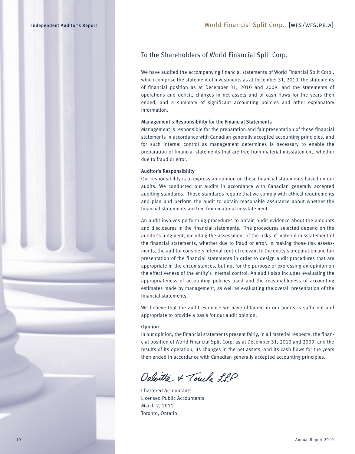# To the Shareholders of World Financial Split Corp.

We have audited the accompanying financial statements of World Financial Split Corp., which comprise the statement of investments as at December 31, 2010, the statements of financial position as at December 31, 2010 and 2009, and the statements of operations and deficit, changes in net assets and of cash flows for the years then ended, and a summary of significant accounting policies and other explanatory information.

#### Management's Responsibility for the Financial Statements

Management is responsible for the preparation and fair presentation of these financial statements in accordance with Canadian generally accepted accounting principles, and for such internal control as management determines is necessary to enable the preparation of financial statements that are free from material misstatement, whether due to fraud or error.

#### Auditor's Responsibility

Our responsibility is to express an opinion on these financial statements based on our audits. We conducted our audits in accordance with Canadian generally accepted auditing standards. Those standards require that we comply with ethical requirements and plan and perform the audit to obtain reasonable assurance about whether the financial statements are free from material misstatement.

An audit involves performing procedures to obtain audit evidence about the amounts and disclosures in the financial statements. The procedures selected depend on the auditor's judgment, including the assessment of the risks of material misstatement of the financial statements, whether due to fraud or error. In making those risk assessments, the auditor considers internal control relevant to the entity's preparation and fair presentation of the financial statements in order to design audit procedures that are appropriate in the circumstances, but not for the purpose of expressing an opinion on the effectiveness of the entity's internal control. An audit also includes evaluating the appropriateness of accounting policies used and the reasonableness of accounting estimates made by management, as well as evaluating the overall presentation of the financial statements.

We believe that the audit evidence we have obtained in our audits is sufficient and appropriate to provide a basis for our audit opinion.

#### Opinion

In our opinion, the financial statements present fairly, in all material respects, the financial position of World Financial Split Corp. as at December 31, 2010 and 2009, and the results of its operation, its changes in the net assets, and its cash flows for the years then ended in accordance with Canadian generally accepted accounting principles.

Oslotte + Toucke LLP

Chartered Accountants Licensed Public Accountants March 2, 2011 Toronto, Ontario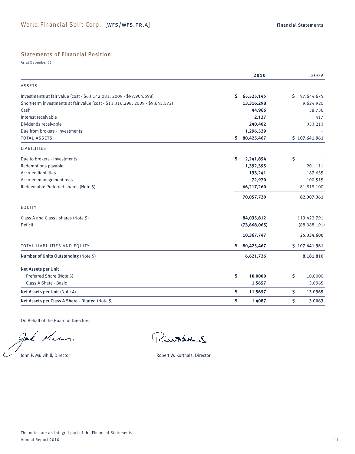# Statements of Financial Position

As at December 31

|                                                                                | 2010              |     | 2009          |
|--------------------------------------------------------------------------------|-------------------|-----|---------------|
| <b>ASSETS</b>                                                                  |                   |     |               |
| Investments at fair value (cost - \$63,142,083; 2009 - \$97,904,698)           | \$65,525,145      | Ŝ.  | 97,644,675    |
| Short-term investments at fair value (cost - \$13,316,298; 2009 - \$9,645,572) | 13,316,298        |     | 9,624,920     |
| Cash                                                                           | 44,966            |     | 38,736        |
| Interest receivable                                                            | 2,127             |     | 417           |
| Dividends receivable                                                           | 240,402           |     | 333,213       |
| Due from brokers - investments                                                 | 1,296,529         |     |               |
| <b>TOTAL ASSETS</b>                                                            | \$.<br>80,425,467 |     | \$107,641,961 |
| <b>LIABILITIES</b>                                                             |                   |     |               |
| Due to brokers - investments                                                   | Ŝ.<br>2,241,854   | \$  |               |
| Redemptions payable                                                            | 1,392,395         |     | 201,111       |
| <b>Accrued liabilities</b>                                                     | 133,241           |     | 187,635       |
| Accrued management fees                                                        | 72,970            |     | 100,515       |
| Redeemable Preferred shares (Note 5)                                           | 66,217,260        |     | 81,818,100    |
|                                                                                | 70,057,720        |     | 82,307,361    |
| EQUITY                                                                         |                   |     |               |
| Class A and Class J shares (Note 5)                                            | 84,035,812        |     | 113,422,791   |
| Deficit                                                                        | (73,668,065)      |     | (88,088,191)  |
|                                                                                | 10,367,747        |     | 25,334,600    |
| TOTAL LIABILITIES AND EQUITY                                                   | \$80,425,467      |     | \$107,641,961 |
| Number of Units Outstanding (Note 5)                                           | 6,621,726         |     | 8,181,810     |
| Net Assets per Unit                                                            |                   |     |               |
| Preferred Share (Note 5)                                                       | \$<br>10.0000     | \$  | 10.0000       |
| Class A Share - Basic                                                          | 1.5657            |     | 3.0965        |
| Net Assets per Unit (Note 4)                                                   | \$.<br>11.5657    | \$. | 13.0965       |
| Net Assets per Class A Share - Diluted (Note 5)                                | \$<br>1.4087      | \$  | 3.0063        |

On Behalf of the Board of Directors,

god Mum.

RhowForth

John P. Mulvihill, Director **Robert W. Korthals, Director** Robert W. Korthals, Director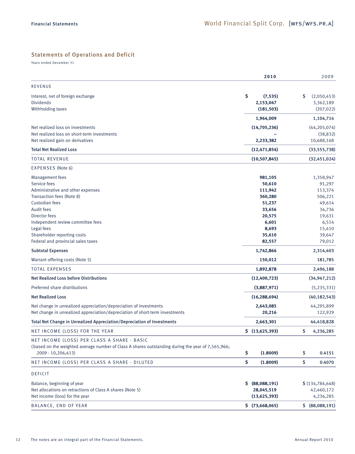# Statements of Operations and Deficit

Years ended December 31

|                                                                                                   |        | 2010            |     | 2009              |
|---------------------------------------------------------------------------------------------------|--------|-----------------|-----|-------------------|
| <b>REVENUE</b>                                                                                    |        |                 |     |                   |
| Interest, net of foreign exchange                                                                 | \$     | (7, 535)        | \$. | (2,050,453)       |
| <b>Dividends</b>                                                                                  |        | 2,153,047       |     | 3,362,189         |
| Withholding taxes                                                                                 |        | (181, 503)      |     | (207, 022)        |
|                                                                                                   |        | 1,964,009       |     | 1,104,714         |
| Net realized loss on investments                                                                  |        | (14, 705, 236)  |     | (44, 205, 074)    |
| Net realized loss on short-term investments                                                       |        |                 |     | (38, 832)         |
| Net realized gain on derivatives                                                                  |        | 2,233,382       |     | 10,688,168        |
| <b>Total Net Realized Loss</b>                                                                    |        | (12, 471, 854)  |     | (33, 555, 738)    |
| <b>TOTAL REVENUE</b>                                                                              |        | (10, 507, 845)  |     | (32, 451, 024)    |
| EXPENSES (Note 6)                                                                                 |        |                 |     |                   |
| Management fees                                                                                   |        | 981,105         |     | 1,358,947         |
| Service fees                                                                                      |        | 50,610          |     | 91,297            |
| Administrative and other expenses                                                                 |        | 111,942         |     | 113,374           |
| Transaction fees (Note 8)                                                                         |        | 360,280         |     | 506,221           |
| Custodian fees                                                                                    |        | 51,237          |     | 49,614            |
| <b>Audit fees</b>                                                                                 |        | 33,656          |     | 34,736            |
| Director fees                                                                                     |        | 20,575          |     | 19,631            |
| Independent review committee fees                                                                 |        | 6,601           |     | 6,514             |
| Legal fees                                                                                        |        | 8,693           |     | 15,410            |
| Shareholder reporting costs                                                                       |        | 35,610          |     | 39,647            |
| Federal and provincial sales taxes                                                                | 82,557 |                 |     | 79,012            |
| <b>Subtotal Expenses</b>                                                                          |        | 1,742,866       |     | 2,314,403         |
| Warrant offering costs (Note 5)                                                                   |        | 150,012         |     | 181,785           |
| <b>TOTAL EXPENSES</b>                                                                             |        | 1,892,878       |     | 2,496,188         |
| <b>Net Realized Loss before Distributions</b>                                                     |        | (12,400,723)    |     | (34, 947, 212)    |
| Preferred share distributions                                                                     |        | (3,887,971)     |     | (5, 235, 331)     |
| <b>Net Realized Loss</b>                                                                          |        | (16, 288, 694)  |     | (40, 182, 543)    |
| Net change in unrealized appreciation/depreciation of investments                                 |        | 2,643,085       |     | 44,295,899        |
| Net change in unrealized appreciation/depreciation of short-term investments                      |        | 20,216          |     | 122,929           |
| Total Net Change in Unrealized Appreciation/Depreciation of Investments                           |        | 2,663,301       |     | 44,418,828        |
| NET INCOME (LOSS) FOR THE YEAR                                                                    |        | \$(13,625,393)  | \$  | 4,236,285         |
| NET INCOME (LOSS) PER CLASS A SHARE - BASIC                                                       |        |                 |     |                   |
| (based on the weighted average number of Class A shares outstanding during the year of 7,565,966; |        |                 |     |                   |
| $2009 - 10,206,413$                                                                               | \$     | (1.8009)        | \$  | 0.4151            |
| NET INCOME (LOSS) PER CLASS A SHARE - DILUTED                                                     | \$     | (1.8009)        | \$  | 0.4070            |
| <b>DEFICIT</b>                                                                                    |        |                 |     |                   |
| Balance, beginning of year                                                                        |        | \$ (88,088,191) |     | \$(134, 784, 648) |
| Net allocations on retractions of Class A shares (Note 5)                                         |        | 28,045,519      |     | 42,460,172        |
| Net income (loss) for the year                                                                    |        | (13,625,393)    |     | 4,236,285         |
| BALANCE, END OF YEAR                                                                              |        | \$(73,668,065)  |     | \$ (88,088,191)   |
|                                                                                                   |        |                 |     |                   |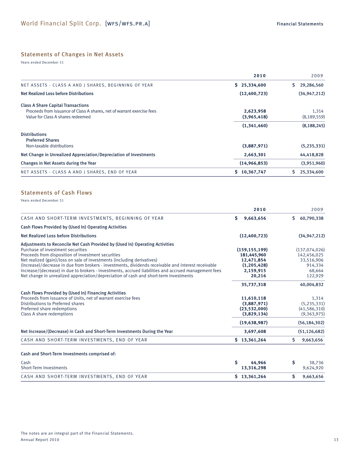# Statements of Changes in Net Assets

Years ended December 31

|                                                                        | 2010           | 2009             |
|------------------------------------------------------------------------|----------------|------------------|
| NET ASSETS - CLASS A AND J SHARES, BEGINNING OF YEAR                   | \$25,334,600   | 29,286,560<br>S. |
| Net Realized Loss before Distributions                                 | (12,400,723)   | (34, 947, 212)   |
| <b>Class A Share Capital Transactions</b>                              |                |                  |
| Proceeds from issuance of Class A shares, net of warrant exercise fees | 2,623,958      | 1,314            |
| Value for Class A shares redeemed                                      | (3,965,418)    | (8, 189, 559)    |
|                                                                        | (1,341,460)    | (8, 188, 245)    |
| <b>Distributions</b>                                                   |                |                  |
| <b>Preferred Shares</b>                                                |                |                  |
| Non-taxable distributions                                              | (3,887,971)    | (5, 235, 331)    |
| Net Change in Unrealized Appreciation/Depreciation of Investments      | 2,663,301      | 44,418,828       |
| Changes in Net Assets during the Year                                  | (14, 966, 853) | (3,951,960)      |
| NET ASSETS - CLASS A AND J SHARES, END OF YEAR                         | \$10,367,747   | 25,334,600       |

# Statements of Cash Flows

Years ended December 31

|                                                                                                      |    | 2010            |     | 2009           |
|------------------------------------------------------------------------------------------------------|----|-----------------|-----|----------------|
| CASH AND SHORT-TERM INVESTMENTS, BEGINNING OF YEAR                                                   | S. | 9,663,656       | Ŝ.  | 60,790,338     |
| Cash Flows Provided by (Used In) Operating Activities                                                |    |                 |     |                |
| <b>Net Realized Loss before Distributions</b>                                                        |    | (12,400,723)    |     | (34, 947, 212) |
| Adjustments to Reconcile Net Cash Provided by (Used In) Operating Activities                         |    |                 |     |                |
| Purchase of investment securities                                                                    |    | (159, 155, 199) |     | (137,074,026)  |
| Proceeds from disposition of investment securities                                                   |    | 181,445,960     |     | 142,456,025    |
| Net realized (gain)/loss on sale of investments (including derivatives)                              |    | 12,471,854      |     | 33,516,906     |
| (Increase)/decrease in due from brokers - investments, dividends receivable and interest receivable  |    | (1, 205, 428)   |     | 914,334        |
| Increase/(decrease) in due to brokers - investments, accrued liabilities and accrued management fees |    | 2,159,915       |     | 68,664         |
| Net change in unrealized appreciation/depreciation of cash and short-term investments                |    | 20,216          |     | 122,929        |
|                                                                                                      |    | 35,737,318      |     | 40,004,832     |
| Cash Flows Provided by (Used In) Financing Activities                                                |    |                 |     |                |
| Proceeds from issuance of Units, net of warrant exercise fees                                        |    | 11,610,118      |     | 1,314          |
| Distributions to Preferred shares                                                                    |    | (3,887,971)     |     | (5, 235, 331)  |
| Preferred share redemptions                                                                          |    | (23, 532, 000)  |     | (41, 586, 310) |
| Class A share redemptions                                                                            |    | (3,829,134)     |     | (9,363,975)    |
|                                                                                                      |    | (19, 638, 987)  |     | (56, 184, 302) |
| Net Increase/(Decrease) in Cash and Short-Term Investments During the Year                           |    | 3,697,608       |     | (51, 126, 682) |
| CASH AND SHORT-TERM INVESTMENTS, END OF YEAR                                                         |    | \$13,361,264    | Ŝ.  | 9,663,656      |
| Cash and Short-Term Investments comprised of:                                                        |    |                 |     |                |
| Cash                                                                                                 | Ś. | 44,966          | \$. | 38,736         |
| Short-Term Investments                                                                               |    | 13,316,298      |     | 9,624,920      |
|                                                                                                      |    |                 |     |                |
| CASH AND SHORT-TERM INVESTMENTS, END OF YEAR                                                         |    | \$13,361,264    | S.  | 9,663,656      |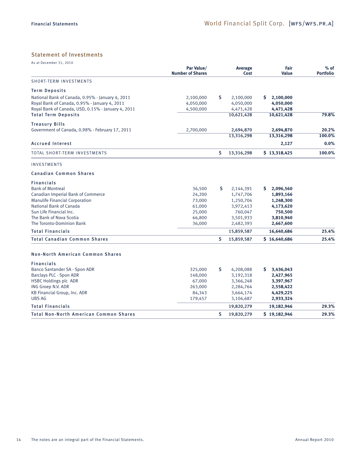# Statement of Investments

As at December 31, 2010

|                                                    | Par Value/<br><b>Number of Shares</b> |     | Average<br>Cost | Fair<br><b>Value</b> | $%$ of<br><b>Portfolio</b> |
|----------------------------------------------------|---------------------------------------|-----|-----------------|----------------------|----------------------------|
| <b>SHORT-TERM INVESTMENTS</b>                      |                                       |     |                 |                      |                            |
| <b>Term Deposits</b>                               |                                       |     |                 |                      |                            |
| National Bank of Canada, 0.95% - January 4, 2011   | 2,100,000                             | \$  | 2,100,000       | 2,100,000<br>S.      |                            |
| Royal Bank of Canada, 0.95% - January 4, 2011      | 4,050,000                             |     | 4,050,000       | 4,050,000            |                            |
| Royal Bank of Canada, USD, 0.15% - January 4, 2011 | 4,500,000                             |     | 4,471,428       | 4,471,428            |                            |
| <b>Total Term Deposits</b>                         |                                       |     | 10,621,428      | 10,621,428           | 79.8%                      |
| <b>Treasury Bills</b>                              |                                       |     |                 |                      |                            |
| Government of Canada, 0.98% - February 17, 2011    | 2,700,000                             |     | 2,694,870       | 2,694,870            | 20.2%                      |
|                                                    |                                       |     | 13,316,298      | 13,316,298           | 100.0%                     |
| <b>Accrued Interest</b>                            |                                       |     |                 | 2,127                | $0.0\%$                    |
| <b>TOTAL SHORT-TERM INVESTMENTS</b>                |                                       | \$  | 13,316,298      | \$13,318,425         | 100.0%                     |
| <b>INVESTMENTS</b>                                 |                                       |     |                 |                      |                            |
| <b>Canadian Common Shares</b>                      |                                       |     |                 |                      |                            |
| <b>Financials</b>                                  |                                       |     |                 |                      |                            |
| <b>Bank of Montreal</b>                            | 36,500                                | \$  | 2,144,391       | 2,096,560<br>S.      |                            |
| Canadian Imperial Bank of Commerce                 | 24,200                                |     | 1,747,706       | 1,893,166            |                            |
| <b>Manulife Financial Corporation</b>              | 73,000                                |     | 1,250,704       | 1,248,300            |                            |
| National Bank of Canada                            | 61,000                                |     | 3,972,413       | 4,173,620            |                            |
| Sun Life Financial Inc.                            | 25,000                                |     | 760,047         | 750,500              |                            |
| The Bank of Nova Scotia                            | 66,800                                |     | 3,501,933       | 3,810,940            |                            |
| The Toronto-Dominion Bank                          | 36,000                                |     | 2,482,393       | 2,667,600            |                            |
| <b>Total Financials</b>                            |                                       |     | 15,859,587      | 16,640,686           | 25.4%                      |
| <b>Total Canadian Common Shares</b>                |                                       | \$  | 15,859,587      | \$16,640,686         | 25.4%                      |
| Non-North American Common Shares                   |                                       |     |                 |                      |                            |
| <b>Financials</b>                                  |                                       |     |                 |                      |                            |
| Banco Santander SA - Spon ADR                      | 325,000                               | \$. | 4,208,088       | S.<br>3,436,043      |                            |
| Barclays PLC - Spon ADR                            | 148,000                               |     | 3,192,318       | 2,427,965            |                            |
| <b>HSBC Holdings plc ADR</b>                       | 67,000                                |     | 3,366,248       | 3,397,967            |                            |
| ING Groep N.V. ADR                                 | 263,000                               |     | 2,284,764       | 2,558,422            |                            |
| KB Financial Group, Inc. ADR                       | 84,343                                |     | 3,664,174       | 4,429,225            |                            |
| <b>UBS AG</b>                                      | 179,457                               |     | 3,104,687       | 2,933,324            |                            |
| <b>Total Financials</b>                            |                                       |     | 19,820,279      | 19,182,946           | 29.3%                      |
| <b>Total Non-North American Common Shares</b>      |                                       | \$  | 19,820,279      | \$19,182,946         | 29.3%                      |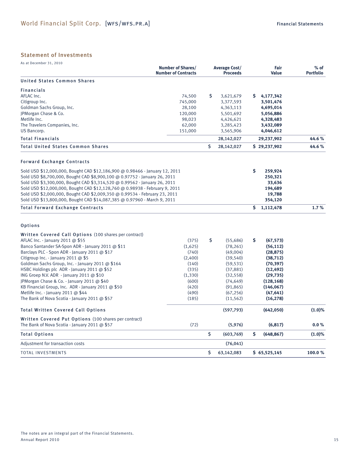# Statement of Investments

As at December 31, 2010

|                                                                             | <b>Number of Shares/</b><br><b>Number of Contracts</b> |     | <b>Average Cost/</b><br><b>Proceeds</b> |    | Fair<br><b>Value</b> | $%$ of<br><b>Portfolio</b> |
|-----------------------------------------------------------------------------|--------------------------------------------------------|-----|-----------------------------------------|----|----------------------|----------------------------|
| <b>United States Common Shares</b>                                          |                                                        |     |                                         |    |                      |                            |
| <b>Financials</b>                                                           |                                                        |     |                                         |    |                      |                            |
| AFLAC Inc.                                                                  | 74,500                                                 | \$. | 3,621,679                               |    | 5, 4, 177, 342       |                            |
| Citigroup Inc.                                                              | 745,000                                                |     |                                         |    | 3,501,476            |                            |
| Goldman Sachs Group, Inc.                                                   | 28,100                                                 |     | 3,377,593<br>4,363,113                  |    | 4,695,014            |                            |
| JPMorgan Chase & Co.                                                        | 120,000                                                |     | 5,501,692                               |    | 5,056,886            |                            |
| Metlife Inc.                                                                |                                                        |     |                                         |    |                      |                            |
|                                                                             | 98,023                                                 |     | 4,426,621                               |    | 4,328,483            |                            |
| The Travelers Companies, Inc.<br>US Bancorp.                                | 62,000<br>151,000                                      |     | 3,285,423                               |    | 3,432,089            |                            |
|                                                                             |                                                        |     | 3,565,906                               |    | 4,046,612            |                            |
| <b>Total Financials</b>                                                     |                                                        | Ś   | 28, 142, 027                            |    | 29,237,902           | 44.6%                      |
| <b>Total United States Common Shares</b>                                    |                                                        |     | 28, 142, 027                            |    | \$29,237,902         | 44.6%                      |
| <b>Forward Exchange Contracts</b>                                           |                                                        |     |                                         |    |                      |                            |
| Sold USD \$12,000,000, Bought CAD \$12,186,900 @ 0.98466 - January 12, 2011 |                                                        |     |                                         | \$ | 259,924              |                            |
| Sold USD \$8,700,000, Bought CAD \$8,900,100 @ 0.97752 - January 26, 2011   |                                                        |     |                                         |    | 250,321              |                            |
| Sold USD \$3,300,000, Bought CAD \$3,314,520 @ 0.99562 - January 26, 2011   |                                                        |     |                                         |    | 33,636               |                            |
| Sold USD \$12,000,000, Bought CAD \$12,128,760 @ 0.98938 - February 9, 2011 |                                                        |     |                                         |    | 194,689              |                            |
| Sold USD \$2,000,000, Bought CAD \$2,009,350 @ 0.99534 - February 23, 2011  |                                                        |     |                                         |    | 19,788               |                            |
| Sold USD \$13,800,000, Bought CAD \$14,087,385 @ 0.97960 - March 9, 2011    |                                                        |     |                                         |    | 354,120              |                            |
| <b>Total Forward Exchange Contracts</b>                                     |                                                        |     |                                         | Ś. | 1,112,478            | 1.7%                       |
|                                                                             |                                                        |     |                                         |    |                      |                            |
| Options                                                                     |                                                        |     |                                         |    |                      |                            |
| Written Covered Call Options (100 shares per contract)                      |                                                        |     |                                         |    |                      |                            |
| AFLAC Inc. - January 2011 @ \$55                                            | (375)                                                  | \$. | (55,686)                                | \$ | (67, 573)            |                            |
| Banco Santander SA-Spon ADR - January 2011 @ \$11                           | (1,625)                                                |     | (78, 261)                               |    | (56, 112)            |                            |
| Barclays PLC - Spon ADR - January 2011 @ \$17                               | (740)                                                  |     | (49,004)                                |    | (28, 875)            |                            |
| Citigroup Inc. - January 2011 @ \$5                                         | (2,400)                                                |     | (39, 540)                               |    | (38, 712)            |                            |
| Goldman Sachs Group, Inc. - January 2011 @ \$164                            | (140)                                                  |     | (59, 531)                               |    | (70, 397)            |                            |
| HSBC Holdings plc ADR - January 2011 @ \$52                                 | (335)                                                  |     | (37, 881)                               |    | (12, 492)            |                            |
| ING Groep N.V. ADR - January 2011 $\omega$ \$10                             | (1, 330)                                               |     | (32, 558)                               |    | (29, 735)            |                            |
| JPMorgan Chase & Co. - January 2011 @ \$40                                  | (600)                                                  |     | (74, 649)                               |    | (128, 168)           |                            |
| KB Financial Group, Inc. ADR - January 2011 @ \$50                          | (420)                                                  |     | (91, 865)                               |    | (146, 067)           |                            |
| Metlife Inc. - January 2011 @ \$44                                          | (490)                                                  |     | (67, 256)                               |    | (47, 641)            |                            |
| The Bank of Nova Scotia - January 2011 $\omega$ \$57                        | (185)                                                  |     | (11, 562)                               |    | (16, 278)            |                            |
| <b>Total Written Covered Call Options</b>                                   |                                                        |     | (597, 793)                              |    | (642, 050)           | (1.0)%                     |
| Written Covered Put Options (100 shares per contract)                       |                                                        |     |                                         |    |                      |                            |
| The Bank of Nova Scotia - January 2011 @ \$57                               | (72)                                                   |     | (5, 976)                                |    | (6, 817)             | 0.0%                       |
| <b>Total Options</b>                                                        |                                                        | \$  | (603, 769)                              | \$ | (648, 867)           | (1.0)%                     |
| Adjustment for transaction costs                                            |                                                        |     | (76, 041)                               |    |                      |                            |
| <b>TOTAL INVESTMENTS</b>                                                    |                                                        | \$  | 63,142,083                              |    | \$65,525,145         | 100.0%                     |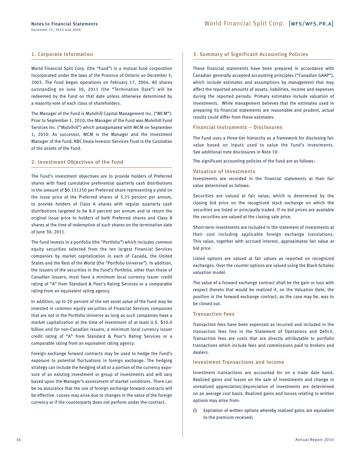#### 1. Corporate Information

World Financial Split Corp. (the "Fund") is a mutual fund corporation incorporated under the laws of the Province of Ontario on December 5, 2003. The Fund began operations on February 17, 2004. All shares outstanding on June 30, 2011 (the "Termination Date") will be redeemed by the Fund on that date unless otherwise determined by a majority vote of each class of shareholders.

The Manager of the Fund is Mulvihill Capital Management Inc. ("MCM"). Prior to September 1, 2010, the Manager of the Fund was Mulvihill Fund Services Inc. ("Mulvihill") which amalgamated with MCM on September 1, 2010. As successor, MCM is the Manager and the Investment Manager of the Fund. RBC Dexia Investor Services Trust is the Custodian of the assets of the Fund.

#### 2. Investment Objectives of the Fund

The Fund's investment objectives are to provide holders of Preferred shares with fixed cumulative preferential quarterly cash distributions in the amount of \$0.131250 per Preferred share representing a yield on the issue price of the Preferred shares of 5.25 percent per annum, to provide holders of Class A shares with regular quarterly cash distributions targeted to be 8.0 percent per annum and to return the original issue price to holders of both Preferred shares and Class A shares at the time of redemption of such shares on the termination date of lune 30, 2011.

The Fund invests in a portfolio (the "Portfolio") which includes common equity securities selected from the ten largest Financial Services companies by market capitalization in each of Canada, the United States and the Rest of the World (the "Portfolio Universe"). In addition, the issuers of the securities in the Fund's Portfolio, other than those of Canadian issuers, must have a minimum local currency issuer credit rating of "A" from Standard & Poor's Rating Services or a comparable rating from an equivalent rating agency.

In addition, up to 20 percent of the net asset value of the Fund may be invested in common equity securities of Financial Services companies that are not in the Portfolio Universe as long as such companies have a market capitalization at the time of investment of at least U.S. \$10.0 billion and for non-Canadian issuers, a minimum local currency issuer credit rating of "A" from Standard & Poor's Rating Services or a comparable rating from an equivalent rating agency.

Foreign exchange forward contracts may be used to hedge the Fund's exposure to potential fluctuations in foreign exchange. The hedging strategy can include the hedging of all or a portion of the currency exposure of an existing investment or group of investments and will vary based upon the Manager's assessment of market conditions. There can be no assurance that the use of foreign exchange forward contracts will be effective. Losses may arise due to changes in the value of the foreign currency or if the counterparty does not perform under the contract.

#### 3. Summary of Significant Accounting Policies

These financial statements have been prepared in accordance with Canadian generally accepted accounting principles ("Canadian GAAP"), which include estimates and assumptions by management that may affect the reported amounts of assets, liabilities, income and expenses during the reported periods. Primary estimates include valuation of investments. While management believes that the estimates used in preparing its financial statements are reasonable and prudent, actual results could differ from these estimates.

#### Financial Instruments – Disclosures

The Fund uses a three-tier hierarchy as a framework for disclosing fair value based on inputs used to value the Fund's investments. See additional note disclosures in Note 10.

The significant accounting policies of the Fund are as follows:

#### Valuation of Investments

Investments are recorded in the financial statements at their fair value determined as follows:

Securities are valued at fair value, which is determined by the closing bid price on the recognized stock exchange on which the securities are listed or principally traded. If no bid prices are available the securities are valued at the closing sale price.

Short-term investments are included in the statement of investments at their cost including applicable foreign exchange translations. This value, together with accrued interest, approximates fair value at bid price.

Listed options are valued at fair values as reported on recognized exchanges. Over the counter options are valued using the Black-Scholes valuation model.

The value of a forward exchange contract shall be the gain or loss with respect thereto that would be realized if, on the Valuation Date, the position in the forward exchange contract, as the case may be, was to be closed out.

#### Transaction Fees

Transaction fees have been expensed as incurred and included in the transaction fees line in the Statement of Operations and Deficit. Transaction fees are costs that are directly attributable to portfolio transactions which include fees and commissions paid to brokers and dealers.

#### Investment Transactions and Income

Investment transactions are accounted for on a trade date basis. Realized gains and losses on the sale of investments and change in unrealized appreciation/depreciation of investments are determined on an average cost basis. Realized gains and losses relating to written options may arise from:

(i) Expiration of written options whereby realized gains are equivalent to the premium received;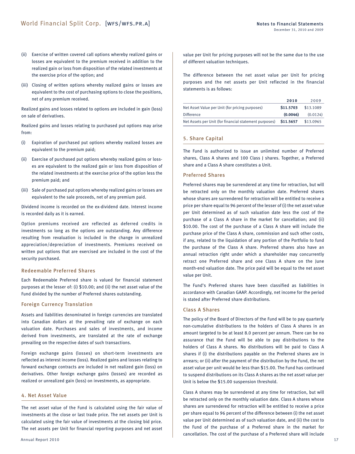- (ii) Exercise of written covered call options whereby realized gains or losses are equivalent to the premium received in addition to the realized gain or loss from disposition of the related investments at the exercise price of the option; and
- (iii) Closing of written options whereby realized gains or losses are equivalent to the cost of purchasing options to close the positions, net of any premium received.

Realized gains and losses related to options are included in gain (loss) on sale of derivatives.

Realized gains and losses relating to purchased put options may arise from:

- (i) Expiration of purchased put options whereby realized losses are equivalent to the premium paid;
- (ii) Exercise of purchased put options whereby realized gains or losses are equivalent to the realized gain or loss from disposition of the related investments at the exercise price of the option less the premium paid; and
- (iii) Sale of purchased put options whereby realized gains or losses are equivalent to the sale proceeds, net of any premium paid.

Dividend income is recorded on the ex-dividend date. Interest income is recorded daily as it is earned.

Option premiums received are reflected as deferred credits in investments so long as the options are outstanding. Any difference resulting from revaluation is included in the change in unrealized appreciation/depreciation of investments. Premiums received on written put options that are exercised are included in the cost of the security purchased.

#### Redeemable Preferred Shares

Each Redeemable Preferred share is valued for financial statement purposes at the lesser of: (i) \$10.00; and (ii) the net asset value of the Fund divided by the number of Preferred shares outstanding.

#### Foreign Currency Translation

Assets and liabilities denominated in foreign currencies are translated into Canadian dollars at the prevailing rate of exchange on each valuation date. Purchases and sales of investments, and income derived from investments, are translated at the rate of exchange prevailing on the respective dates of such transactions.

Foreign exchange gains (losses) on short-term investments are reflected as interest income (loss). Realized gains and losses relating to forward exchange contracts are included in net realized gain (loss) on derivatives. Other foreign exchange gains (losses) are recorded as realized or unrealized gain (loss) on investments, as appropriate.

#### 4. Net Asset Value

The net asset value of the Fund is calculated using the fair value of investments at the close or last trade price. The net assets per Unit is calculated using the fair value of investments at the closing bid price. The net assets per Unit for financial reporting purposes and net asset value per Unit for pricing purposes will not be the same due to the use of different valuation techniques.

The difference between the net asset value per Unit for pricing purposes and the net assets per Unit reflected in the financial statements is as follows:

|                                                        | 2010      | 2009      |
|--------------------------------------------------------|-----------|-----------|
| Net Asset Value per Unit (for pricing purposes)        | \$11,5703 | \$13,1089 |
| <b>Difference</b>                                      | (0.0046)  | (0.0124)  |
| Net Assets per Unit (for financial statement purposes) | \$11.5657 | \$13,0965 |

#### 5. Share Capital

The Fund is authorized to issue an unlimited number of Preferred shares, Class A shares and 100 Class J shares. Together, a Preferred share and a Class A share constitutes a Unit.

#### Preferred Shares

Preferred shares may be surrendered at any time for retraction, but will be retracted only on the monthly valuation date. Preferred shares whose shares are surrendered for retraction will be entitled to receive a price per share equal to 96 percent of the lesser of (i) the net asset value per Unit determined as of such valuation date less the cost of the purchase of a Class A share in the market for cancellation; and (ii) \$10.00. The cost of the purchase of a Class A share will include the purchase price of the Class A share, commission and such other costs, if any, related to the liquidation of any portion of the Portfolio to fund the purchase of the Class A share. Preferred shares also have an annual retraction right under which a shareholder may concurrently retract one Preferred share and one Class A share on the June month-end valuation date. The price paid will be equal to the net asset value per Unit.

The Fund's Preferred shares have been classified as liabilities in accordance with Canadian GAAP. Accordingly, net income for the period is stated after Preferred share distributions.

#### Class A Shares

The policy of the Board of Directors of the Fund will be to pay quarterly non-cumulative distributions to the holders of Class A shares in an amount targeted to be at least 8.0 percent per annum. There can be no assurance that the Fund will be able to pay distributions to the holders of Class A shares. No distributions will be paid to Class A shares if (i) the distributions payable on the Preferred shares are in arrears; or (ii) after the payment of the distribution by the Fund, the net asset value per unit would be less than \$15.00. The Fund has continued to suspend distributions on its Class A shares as the net asset value per Unit is below the \$15.00 suspension threshold.

Class A shares may be surrendered at any time for retraction, but will be retracted only on the monthly valuation date. Class A shares whose shares are surrendered for retraction will be entitled to receive a price per share equal to 96 percent of the difference between (i) the net asset value per Unit determined as of such valuation date, and (ii) the cost to the Fund of the purchase of a Preferred share in the market for cancellation. The cost of the purchase of a Preferred share will include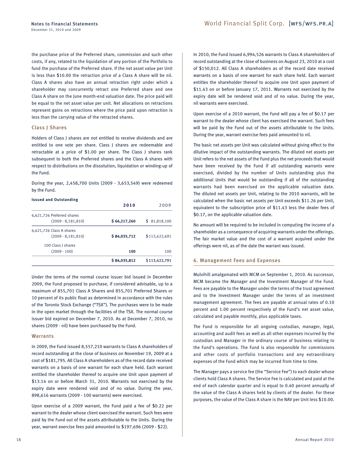the purchase price of the Preferred share, commission and such other costs, if any, related to the liquidation of any portion of the Portfolio to fund the purchase of the Preferred share. If the net asset value per Unit is less than \$10.00 the retraction price of a Class A share will be nil. Class A shares also have an annual retraction right under which a shareholder may concurrently retract one Preferred share and one Class A share on the June month-end valuation date. The price paid will be equal to the net asset value per unit. Net allocations on retractions represent gains on retractions where the price paid upon retraction is less than the carrying value of the retracted shares.

#### Class J Shares

Holders of Class J shares are not entitled to receive dividends and are entitled to one vote per share. Class J shares are redeemable and retractable at a price of \$1.00 per share. The Class J shares rank subsequent to both the Preferred shares and the Class A shares with respect to distributions on the dissolution, liquidation or winding-up of the Fund.

During the year, 2,458,700 Units (2009 - 3,653,549) were redeemed by the Fund.

| <b>Issued and Outstanding</b> |              |               |
|-------------------------------|--------------|---------------|
|                               | 2010         | 2009          |
| 6,621,726 Preferred shares    |              |               |
| $(2009 - 8.181.810)$          | \$66,217,260 | \$ 81,818,100 |
| 6,621,726 Class A shares      |              |               |
| $(2009 - 8.181.810)$          | \$84,035,712 | \$113,422,691 |
| 100 Class J shares            |              |               |
| $(2009 - 100)$                | 100          | 100           |
|                               | \$84,035,812 | \$113,422,791 |
|                               |              |               |

Under the terms of the normal course issuer bid issued in December 2009, the Fund proposed to purchase, if considered advisable, up to a maximum of 855,701 Class A Shares and 855,701 Preferred Shares or 10 percent of its public float as determined in accordance with the rules of the Toronto Stock Exchange ("TSX"). The purchases were to be made in the open market through the facilities of the TSX. The normal course issuer bid expired on December 7, 2010. As at December 7, 2010, no shares (2009 - nil) have been purchased by the Fund.

#### **Warrants**

In 2009, the Fund issued 8,557,210 warrants to Class A shareholders of record outstanding at the close of business on November 19, 2009 at a cost of \$181,795. All Class A shareholders as of the record date received warrants on a basis of one warrant for each share held. Each warrant entitled the shareholder thereof to acquire one Unit upon payment of \$13.14 on or before March 31, 2010. Warrants not exercised by the expiry date were rendered void and of no value. During the year, 898,616 warrants (2009 - 100 warrants) were exercised.

Upon exercise of a 2009 warrant, the Fund paid a fee of \$0.22 per warrant to the dealer whose client exercised the warrant. Such fees were paid by the Fund out of the assets attributable to the Units. During the year, warrant exercise fees paid amounted to \$197,696 (2009 - \$22).

In 2010, the Fund issued 6,994,526 warrants to Class A shareholders of record outstanding at the close of business on August 23, 2010 at a cost of \$150,012. All Class A shareholders as of the record date received warrants on a basis of one warrant for each share held. Each warrant entitles the shareholder thereof to acquire one Unit upon payment of \$11.43 on or before January 17, 2011. Warrants not exercised by the expiry date will be rendered void and of no value. During the year, nil warrants were exercised.

Upon exercise of a 2010 warrant, the Fund will pay a fee of \$0.17 per warrant to the dealer whose client has exercised the warrant. Such fees will be paid by the Fund out of the assets attributable to the Units. During the year, warrant exercise fees paid amounted to nil.

The basic net assets per Unit was calculated without giving effect to the dilutive impact of the outstanding warrants. The diluted net assets per Unit refers to the net assets of the Fund plus the net proceeds that would have been received by the Fund if all outstanding warrants were exercised, divided by the number of Units outstanding plus the additional Units that would be outstanding if all of the outstanding warrants had been exercised on the applicable valuation date. The diluted net assets per Unit, relating to the 2010 warrants, will be calculated when the basic net assets per Unit exceeds \$11.26 per Unit, equivalent to the subscription price of \$11.43 less the dealer fees of \$0.17, on the applicable valuation date.

No amount will be required to be included in computing the income of a shareholder as a consequence of acquiring warrants under the offerings. The fair market value and the cost of a warrant acquired under the offerings were nil, as of the date the warrant was issued.

#### 6. Management Fees and Expenses

Mulvihill amalgamated with MCM on September 1, 2010. As successor, MCM became the Manager and the Investment Manager of the Fund. Fees are payable to the Manager under the terms of the trust agreement and to the Investment Manager under the terms of an investment management agreement. The fees are payable at annual rates of 0.10 percent and 1.00 percent respectively of the Fund's net asset value, calculated and payable monthly, plus applicable taxes.

The Fund is responsible for all ongoing custodian, manager, legal, accounting and audit fees as well as all other expenses incurred by the custodian and Manager in the ordinary course of business relating to the Fund's operations. The Fund is also responsible for commissions and other costs of portfolio transactions and any extraordinary expenses of the Fund which may be incurred from time to time.

The Manager pays a service fee (the "Service Fee") to each dealer whose clients hold Class A shares. The Service Fee is calculated and paid at the end of each calendar quarter and is equal to 0.40 percent annually of the value of the Class A shares held by clients of the dealer. For these purposes, the value of the Class A share is the NAV per Unit less \$10.00.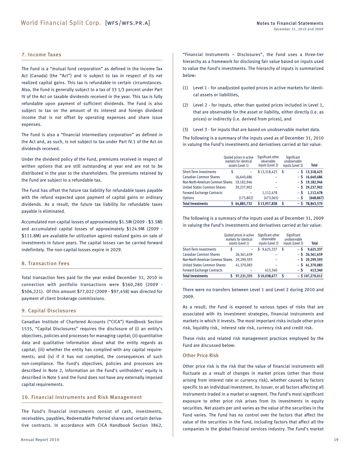#### 7. Income Taxes

The Fund is a "mutual fund corporation" as defined in the Income Tax Act (Canada) (the "Act") and is subject to tax in respect of its net realized capital gains. This tax is refundable in certain circumstances. Also, the Fund is generally subject to a tax of 33 1⁄3 percent under Part IV of the Act on taxable dividends received in the year. This tax is fully refundable upon payment of sufficient dividends. The Fund is also subject to tax on the amount of its interest and foreign dividend income that is not offset by operating expenses and share issue expenses.

The Fund is also a "financial intermediary corporation" as defined in the Act and, as such, is not subject to tax under Part IV.1 of the Act on dividends received.

Under the dividend policy of the Fund, premiums received in respect of written options that are still outstanding at year end are not to be distributed in the year to the shareholders. The premiums retained by the Fund are subject to a refundable tax.

The Fund has offset the future tax liability for refundable taxes payable with the refund expected upon payment of capital gains or ordinary dividends. As a result, the future tax liability for refundable taxes payable is eliminated.

Accumulated non-capital losses of approximately \$1.5M (2009 - \$3.5M) and accumulated capital losses of approximately \$124.9M (2009 - \$111.8M) are available for utilization against realized gains on sale of investments in future years. The capital losses can be carried forward indefinitely. The non-capital losses expire in 2029.

#### 8. Transaction Fees

Total transaction fees paid for the year ended December 31, 2010 in connection with portfolio transactions were \$360,280 (2009 - \$506,221). Of this amount \$77,022 (2009 - \$97,458) was directed for payment of client brokerage commissions.

#### 9. Capital Disclosures

Canadian Institute of Chartered Accounts ("CICA") Handbook Section 1535, "Capital Disclosures" requires the disclosure of (i) an entity's objectives, policies and processes for managing capital; (ii) quantitative data and qualitative information about what the entity regards as capital; (iii) whether the entity has complied with any capital requirements; and (iv) if it has not complied, the consequences of such non-compliance. The Fund's objectives, policies and processes are described in Note 2, information on the Fund's unitholders' equity is described in Note 5 and the Fund does not have any externally imposed capital requirements.

#### 10. Financial Instruments and Risk Management

The Fund's financial instruments consist of cash, investments, receivables, payables, Redeemable Preferred shares and certain derivative contracts. In accordance with CICA Handbook Section 3862, "Financial Instruments – Disclosures", the Fund uses a three-tier hierarchy as a framework for disclosing fair value based on inputs used to value the Fund's investments. The hierarchy of inputs is summarized below:

- (1) Level 1 for unadjusted quoted prices in active markets for identical assets or liabilities,
- (2) Level 2 for inputs, other than quoted prices included in Level 1, that are observable for the asset or liability, either directly (i.e. as prices) or indirectly (i.e. derived from prices), and
- (3) Level 3 for inputs that are based on unobservable market data.

The following is a summary of the inputs used as of December 31, 2010 in valuing the Fund's investments and derivatives carried at fair value:

|                                    | Quoted prices in active<br>markets for identical<br>assets (Level 1) | Significant other<br>observable<br>inputs (Level 2) | <b>Significant</b><br>unobservable<br>inputs (Level 3) | <b>Total</b>    |
|------------------------------------|----------------------------------------------------------------------|-----------------------------------------------------|--------------------------------------------------------|-----------------|
| <b>Short-Term Investments</b>      | \$                                                                   | \$13,318,425                                        | – S<br>S                                               | 13,318,425      |
| <b>Canadian Common Shares</b>      | 16,640,686                                                           |                                                     |                                                        | $-5$ 16,640,686 |
| Non-North American Common Shares   | 19,182,946                                                           |                                                     |                                                        | $-5$ 19,182,946 |
| <b>United States Common Shares</b> | 29.237.902                                                           |                                                     | – S                                                    | 29,237,902      |
| <b>Forward Exchange Contracts</b>  |                                                                      | 1,112,478                                           | – S                                                    | 1.112.478       |
| <b>Options</b>                     | (175, 802)                                                           | (473,065)                                           | – S                                                    | (648, 867)      |
| <b>Total Investments</b>           | 64,885,732                                                           | \$13,957,838                                        | S<br>– S                                               | 78,843,570      |

The following is a summary of the inputs used as of December 31, 2009 in valuing the Fund's investments and derivatives carried at fair value:

|                                    |   | Quoted prices in active<br>markets for identical<br>assets (Level 1) | Significant other<br>observable<br>inputs (Level 2) | <b>Significant</b><br>unobservable<br>inputs (Level 3) | <b>Total</b>    |
|------------------------------------|---|----------------------------------------------------------------------|-----------------------------------------------------|--------------------------------------------------------|-----------------|
| <b>Short-Term Investments</b>      | S | -                                                                    | 9,625,337<br>s                                      | S<br>– S                                               | 9,625,337       |
| <b>Canadian Common Shares</b>      |   | 26,561,659                                                           |                                                     |                                                        | $-5$ 26.561.659 |
| Non-North American Common Shares   |   | 29,299,593                                                           |                                                     |                                                        | $-5$ 29,299,593 |
| <b>United States Common Shares</b> |   | 41,370,083                                                           |                                                     |                                                        | $-5$ 41,370,083 |
| <b>Forward Exchange Contracts</b>  |   |                                                                      | 413,340                                             | – S                                                    | 413,340         |
| <b>Total Investments</b>           |   | 97,231,335                                                           | \$10,038,677                                        | ς                                                      | $-5107,270,012$ |

There were no transfers between Level 1 and Level 2 during 2010 and 2009.

As a result, the Fund is exposed to various types of risks that are associated with its investment strategies, financial instruments and markets in which it invests. The most important risks include other price risk, liquidity risk, interest rate risk, currency risk and credit risk.

These risks and related risk management practices employed by the Fund are discussed below:

#### Other Price Risk

Other price risk is the risk that the value of financial instruments will fluctuate as a result of changes in market prices (other than those arising from interest rate or currency risk), whether caused by factors specific to an individual investment, its issuer, or all factors affecting all instruments traded in a market or segment. The Fund's most significant exposure to other price risk arises from its investments in equity securities. Net assets per unit varies as the value of the securities in the Fund varies. The Fund has no control over the factors that affect the value of the securities in the Fund, including factors that affect all the companies in the global financial services industry. The Fund's market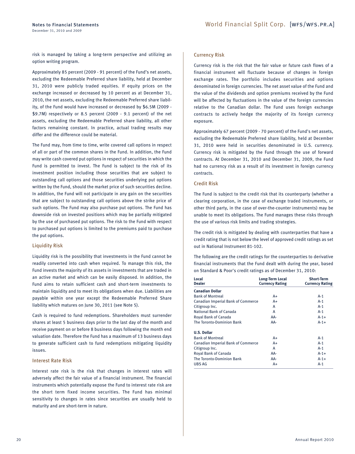risk is managed by taking a long-term perspective and utilizing an option writing program.

Approximately 85 percent (2009 - 91 percent) of the Fund's net assets, excluding the Redeemable Preferred share liability, held at December 31, 2010 were publicly traded equities. If equity prices on the exchange increased or decreased by 10 percent as at December 31, 2010, the net assets, excluding the Redeemable Preferred share liability, of the Fund would have increased or decreased by \$6.5M (2009 - \$9.7M) respectively or 8.5 percent (2009 - 9.1 percent) of the net assets, excluding the Redeemable Preferred share liability, all other factors remaining constant. In practice, actual trading results may differ and the difference could be material.

The Fund may, from time to time, write covered call options in respect of all or part of the common shares in the Fund. In addition, the Fund may write cash covered put options in respect of securities in which the Fund is permitted to invest. The Fund is subject to the risk of its investment position including those securities that are subject to outstanding call options and those securities underlying put options written by the Fund, should the market price of such securities decline. In addition, the Fund will not participate in any gain on the securities that are subject to outstanding call options above the strike price of such options. The Fund may also purchase put options. The Fund has downside risk on invested positions which may be partially mitigated by the use of purchased put options. The risk to the Fund with respect to purchased put options is limited to the premiums paid to purchase the put options.

#### Liquidity Risk

Liquidity risk is the possibility that investments in the Fund cannot be readily converted into cash when required. To manage this risk, the Fund invests the majority of its assets in investments that are traded in an active market and which can be easily disposed. In addition, the Fund aims to retain sufficient cash and short-term investments to maintain liquidity and to meet its obligations when due. Liabilities are payable within one year except the Redeemable Preferred Share liability which matures on June 30, 2011 (see Note 5).

Cash is required to fund redemptions. Shareholders must surrender shares at least 5 business days prior to the last day of the month and receive payment on or before 8 business days following the month end valuation date. Therefore the Fund has a maximum of 13 business days to generate sufficient cash to fund redemptions mitigating liquidity issues.

#### Interest Rate Risk

Interest rate risk is the risk that changes in interest rates will adversely affect the fair value of a financial instrument. The financial instruments which potentially expose the Fund to interest rate risk are the short term fixed income securities. The Fund has minimal sensitivity to changes in rates since securities are usually held to maturity and are short-term in nature.

#### Currency Risk

Currency risk is the risk that the fair value or future cash flows of a financial instrument will fluctuate because of changes in foreign exchange rates. The portfolio includes securities and options denominated in foreign currencies. The net asset value of the Fund and the value of the dividends and option premiums received by the Fund will be affected by fluctuations in the value of the foreign currencies relative to the Canadian dollar. The Fund uses foreign exchange contracts to actively hedge the majority of its foreign currency exposure.

Approximately 67 percent (2009 - 70 percent) of the Fund's net assets, excluding the Redeemable Preferred share liability, held at December 31, 2010 were held in securities denominated in U.S. currency. Currency risk is mitigated by the Fund through the use of forward contracts. At December 31, 2010 and December 31, 2009, the Fund had no currency risk as a result of its investment in foreign currency contracts.

#### Credit Risk

The Fund is subject to the credit risk that its counterparty (whether a clearing corporation, in the case of exchange traded instruments, or other third party, in the case of over-the-counter instruments) may be unable to meet its obligations. The Fund manages these risks through the use of various risk limits and trading strategies.

The credit risk is mitigated by dealing with counterparties that have a credit rating that is not below the level of approved credit ratings as set out in National Instrument 81-102.

The following are the credit ratings for the counterparties to derivative financial instruments that the Fund dealt with during the year, based on Standard & Poor's credit ratings as of December 31, 2010:

| Local<br><b>Dealer</b>                    | <b>Long-Term Local</b><br><b>Currency Rating</b> | <b>Short-Term</b><br><b>Currency Rating</b> |  |
|-------------------------------------------|--------------------------------------------------|---------------------------------------------|--|
| <b>Canadian Dollar</b>                    |                                                  |                                             |  |
| <b>Bank of Montreal</b>                   | A+                                               | $A-1$                                       |  |
| <b>Canadian Imperial Bank of Commerce</b> | A+                                               | $A-1$                                       |  |
| Citigroup Inc.                            | А                                                | $A-1$                                       |  |
| National Bank of Canada                   | A                                                | $A-1$                                       |  |
| Royal Bank of Canada                      | AA-                                              | $A-1+$                                      |  |
| The Toronto-Dominion Bank                 | AA-                                              | $A-1+$                                      |  |
| <b>U.S. Dollar</b>                        |                                                  |                                             |  |
| <b>Bank of Montreal</b>                   | A+                                               | $A-1$                                       |  |
| <b>Canadian Imperial Bank of Commerce</b> | A+                                               | $A-1$                                       |  |
| Citigroup Inc.                            | A                                                | $A-1$                                       |  |
| Royal Bank of Canada                      | AA-                                              | $A-1+$                                      |  |
| The Toronto-Dominion Bank                 | AA-                                              | $A-1+$                                      |  |
| <b>UBS AG</b>                             | A+                                               | $A-1$                                       |  |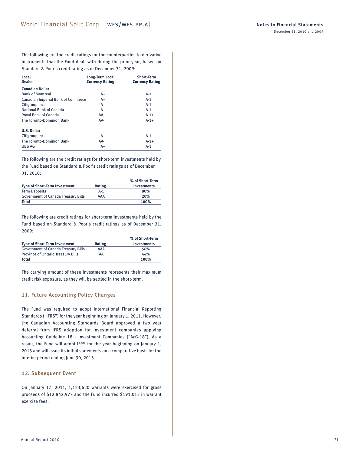The following are the credit ratings for the counterparties to derivative instruments that the Fund dealt with during the prior year, based on Standard & Poor's credit rating as of December 31, 2009:

| Local<br><b>Dealer</b>                    | Long-Term Local<br><b>Currency Rating</b> | <b>Short-Term</b><br><b>Currency Rating</b> |  |
|-------------------------------------------|-------------------------------------------|---------------------------------------------|--|
| <b>Canadian Dollar</b>                    |                                           |                                             |  |
| <b>Bank of Montreal</b>                   | A+                                        | $A-1$                                       |  |
| <b>Canadian Imperial Bank of Commerce</b> | $A+$                                      | $A-1$                                       |  |
| Citigroup Inc.                            | A                                         | $A-1$                                       |  |
| National Bank of Canada                   | А                                         | $A-1$                                       |  |
| <b>Royal Bank of Canada</b>               | AA-                                       | $A - 1 +$                                   |  |
| The Toronto-Dominion Bank                 | AA-                                       | $A-1+$                                      |  |
| <b>U.S. Dollar</b>                        |                                           |                                             |  |
| Citigroup Inc.                            | А                                         | $A-1$                                       |  |
| The Toronto-Dominion Bank                 | AA-                                       | $A-1+$                                      |  |
| <b>UBS AG</b>                             | A+                                        | $A-1$                                       |  |

The following are the credit ratings for short-term investments held by the Fund based on Standard & Poor's credit ratings as of December 31, 2010:

|                                            |        | % of Short-Term<br><b>Investments</b> |  |
|--------------------------------------------|--------|---------------------------------------|--|
| <b>Type of Short-Term Investment</b>       | Rating |                                       |  |
| <b>Term Deposits</b>                       | $A-1$  | 80%                                   |  |
| <b>Government of Canada Treasury Bills</b> | AAA    | 20%                                   |  |
| <b>Total</b>                               |        | 100%                                  |  |

The following are credit ratings for short-term investments held by the Fund based on Standard & Poor's credit ratings as of December 31, 2009:

|                                            |        | % of Short-Term    |  |
|--------------------------------------------|--------|--------------------|--|
| <b>Type of Short-Term Investment</b>       | Rating | <b>Investments</b> |  |
| <b>Government of Canada Treasury Bills</b> | AAA    | 56%                |  |
| <b>Province of Ontario Treasury Bills</b>  | AA     | 44%                |  |
| <b>Total</b>                               |        | 100%               |  |

The carrying amount of these investments represents their maximum credit risk exposure, as they will be settled in the short-term.

#### 11. Future Accounting Policy Changes

The Fund was required to adopt International Financial Reporting Standards ("IFRS") for the year beginning on January 1, 2011. However, the Canadian Accounting Standards Board approved a two year deferral from IFRS adoption for investment companies applying Accounting Guideline 18 - Investment Companies ("AcG-18"). As a result, the Fund will adopt IFRS for the year beginning on January 1, 2013 and will issue its initial statements on a comparative basis for the interim period ending June 30, 2013.

#### 12. Subsequent Event

On January 17, 2011, 1,123,620 warrants were exercised for gross proceeds of \$12,842,977 and the Fund incurred \$191,015 in warrant exercise fees.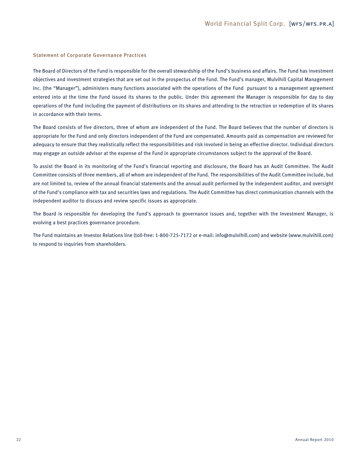#### Statement of Corporate Governance Practices

The Board of Directors of the Fund is responsible for the overall stewardship of the Fund's business and affairs. The Fund has investment objectives and investment strategies that are set out in the prospectus of the Fund. The Fund's manager, Mulvihill Capital Management Inc. (the "Manager"), administers many functions associated with the operations of the Fund pursuant to a management agreement entered into at the time the Fund issued its shares to the public. Under this agreement the Manager is responsible for day to day operations of the Fund including the payment of distributions on its shares and attending to the retraction or redemption of its shares in accordance with their terms.

The Board consists of five directors, three of whom are independent of the Fund. The Board believes that the number of directors is appropriate for the Fund and only directors independent of the Fund are compensated. Amounts paid as compensation are reviewed for adequacy to ensure that they realistically reflect the responsibilities and risk involved in being an effective director. Individual directors may engage an outside advisor at the expense of the Fund in appropriate circumstances subject to the approval of the Board.

To assist the Board in its monitoring of the Fund's financial reporting and disclosure, the Board has an Audit Committee. The Audit Committee consists of three members, all of whom are independent of the Fund. The responsibilities of the Audit Committee include, but are not limited to, review of the annual financial statements and the annual audit performed by the independent auditor, and oversight of the Fund's compliance with tax and securities laws and regulations. The Audit Committee has direct communication channels with the independent auditor to discuss and review specific issues as appropriate.

The Board is responsible for developing the Fund's approach to governance issues and, together with the Investment Manager, is evolving a best practices governance procedure.

The Fund maintains an Investor Relations line (toll-free: 1-800-725-7172 or e-mail: info@mulvihill.com) and website (www.mulvihill.com) to respond to inquiries from shareholders.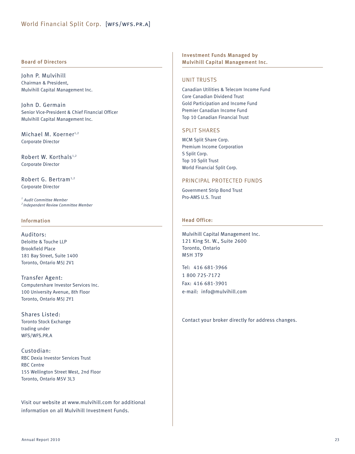#### Board of Directors

John P. Mulvihill Chairman & President, Mulvihill Capital Management Inc.

John D. Germain Senior Vice-President & Chief Financial Officer Mulvihill Capital Management Inc.

Michael M. Koerner<sup>1,2</sup> Corporate Director

Robert W. Korthals<sup>1,2</sup> Corporate Director

Robert G. Bertram<sup>1,2</sup> Corporate Director

*<sup>1</sup> Audit Committee Member <sup>2</sup> Independent Review Committee Member*

### Information

Auditors: Deloitte & Touche LLP Brookfield Place 181 Bay Street, Suite 1400 Toronto, Ontario M5J 2V1

Transfer Agent: Computershare Investor Services Inc. 100 University Avenue, 8th Floor Toronto, Ontario M5J 2Y1

Shares Listed: Toronto Stock Exchange trading under WFS/WFS.PR.A

Custodian: RBC Dexia Investor Services Trust RBC Centre 155 Wellington Street West, 2nd Floor Toronto, Ontario M5V 3L3

Visit our website at www.mulvihill.com for additional information on all Mulvihill Investment Funds.

Investment Funds Managed by Mulvihill Capital Management Inc.

#### UNIT TRUSTS

Canadian Utilities & Telecom Income Fund Core Canadian Dividend Trust Gold Participation and Income Fund Premier Canadian Income Fund Top 10 Canadian Financial Trust

#### SPLIT SHARES

MCM Split Share Corp. Premium Income Corporation S Split Corp. Top 10 Split Trust World Financial Split Corp.

# PRINCIPAL PROTECTED FUNDS

Government Strip Bond Trust Pro-AMS U.S. Trust

### Head Office:

Mulvihill Capital Management Inc. 121 King St. W., Suite 2600 Toronto, Ontario M5H 3T9

Tel: 416 681-3966 1 800 725-7172 Fax: 416 681-3901 e-mail: info@mulvihill.com

Contact your broker directly for address changes.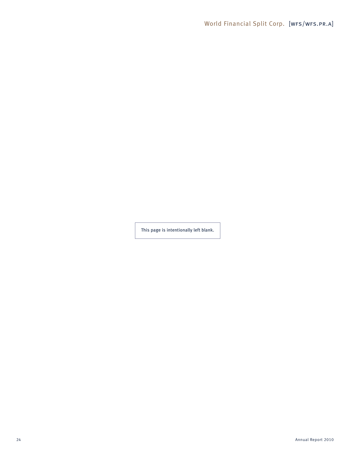This page is intentionally left blank.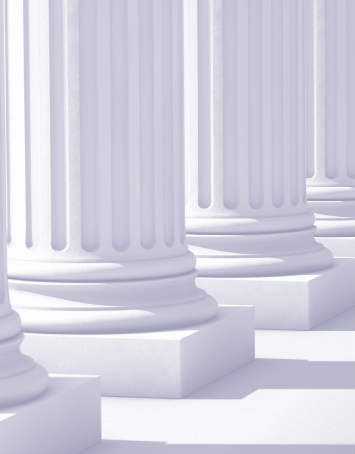